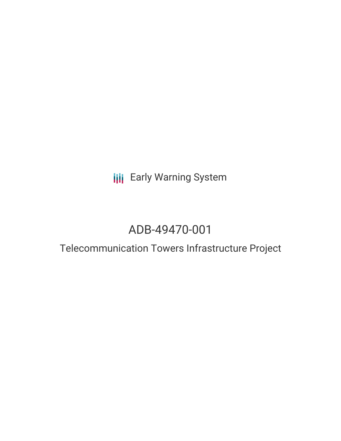**III** Early Warning System

## ADB-49470-001

# Telecommunication Towers Infrastructure Project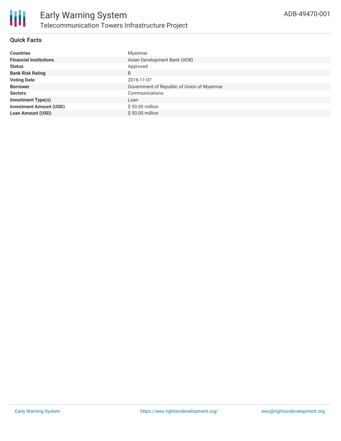

## **Quick Facts**

| <b>Countries</b>               | Myanmar                                    |
|--------------------------------|--------------------------------------------|
| <b>Financial Institutions</b>  | Asian Development Bank (ADB)               |
| <b>Status</b>                  | Approved                                   |
| <b>Bank Risk Rating</b>        | B                                          |
| <b>Voting Date</b>             | 2016-11-07                                 |
| <b>Borrower</b>                | Government of Republic of Union of Myanmar |
| <b>Sectors</b>                 | Communications                             |
| <b>Investment Type(s)</b>      | Loan                                       |
| <b>Investment Amount (USD)</b> | $$50.00$ million                           |
| <b>Loan Amount (USD)</b>       | $$50.00$ million                           |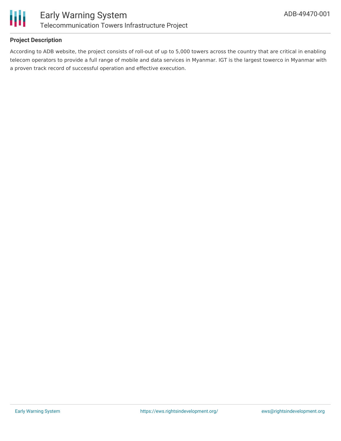

### **Project Description**

According to ADB website, the project consists of roll-out of up to 5,000 towers across the country that are critical in enabling telecom operators to provide a full range of mobile and data services in Myanmar. IGT is the largest towerco in Myanmar with a proven track record of successful operation and effective execution.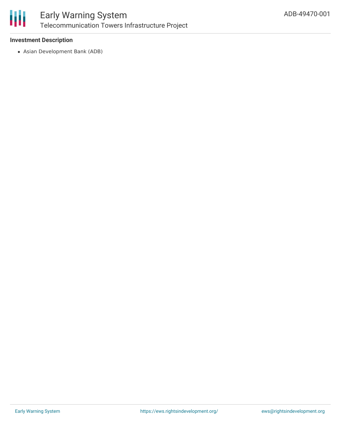

#### **Investment Description**

Asian Development Bank (ADB)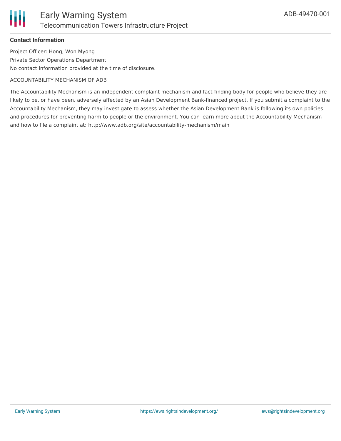

#### **Contact Information**

Project Officer: Hong, Won Myong Private Sector Operations Department No contact information provided at the time of disclosure.

#### ACCOUNTABILITY MECHANISM OF ADB

The Accountability Mechanism is an independent complaint mechanism and fact-finding body for people who believe they are likely to be, or have been, adversely affected by an Asian Development Bank-financed project. If you submit a complaint to the Accountability Mechanism, they may investigate to assess whether the Asian Development Bank is following its own policies and procedures for preventing harm to people or the environment. You can learn more about the Accountability Mechanism and how to file a complaint at: http://www.adb.org/site/accountability-mechanism/main